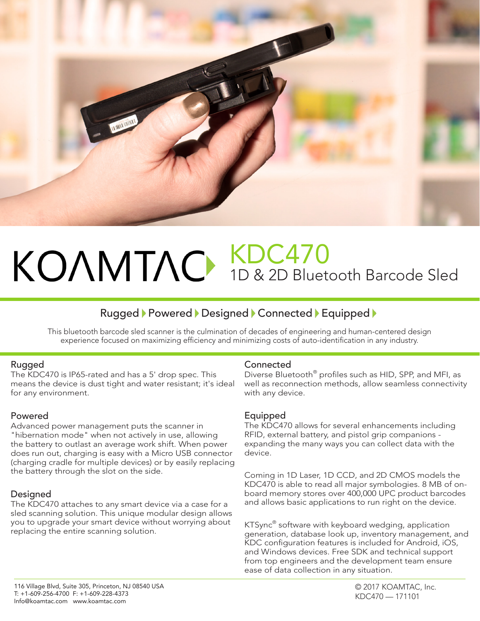

## KDC470 1D & 2D Bluetooth Barcode Sled

### Rugged Powered Designed Connected Equipped

This bluetooth barcode sled scanner is the culmination of decades of engineering and human-centered design experience focused on maximizing efficiency and minimizing costs of auto-identification in any industry.

#### Rugged

The KDC470 is IP65-rated and has a 5' drop spec. This means the device is dust tight and water resistant; it's ideal for any environment.

#### Powered

Advanced power management puts the scanner in "hibernation mode" when not actively in use, allowing the battery to outlast an average work shift. When power does run out, charging is easy with a Micro USB connector (charging cradle for multiple devices) or by easily replacing the battery through the slot on the side.

#### Designed

The KDC470 attaches to any smart device via a case for a sled scanning solution. This unique modular design allows you to upgrade your smart device without worrying about replacing the entire scanning solution.

#### **Connected**

Diverse Bluetooth® profiles such as HID, SPP, and MFI, as well as reconnection methods, allow seamless connectivity with any device.

#### Equipped

The KDC470 allows for several enhancements including RFID, external battery, and pistol grip companions expanding the many ways you can collect data with the device.

Coming in 1D Laser, 1D CCD, and 2D CMOS models the KDC470 is able to read all major symbologies. 8 MB of onboard memory stores over 400,000 UPC product barcodes and allows basic applications to run right on the device.

KTSync® software with keyboard wedging, application generation, database look up, inventory management, and KDC configuration features is included for Android, iOS, and Windows devices. Free SDK and technical support from top engineers and the development team ensure ease of data collection in any situation.